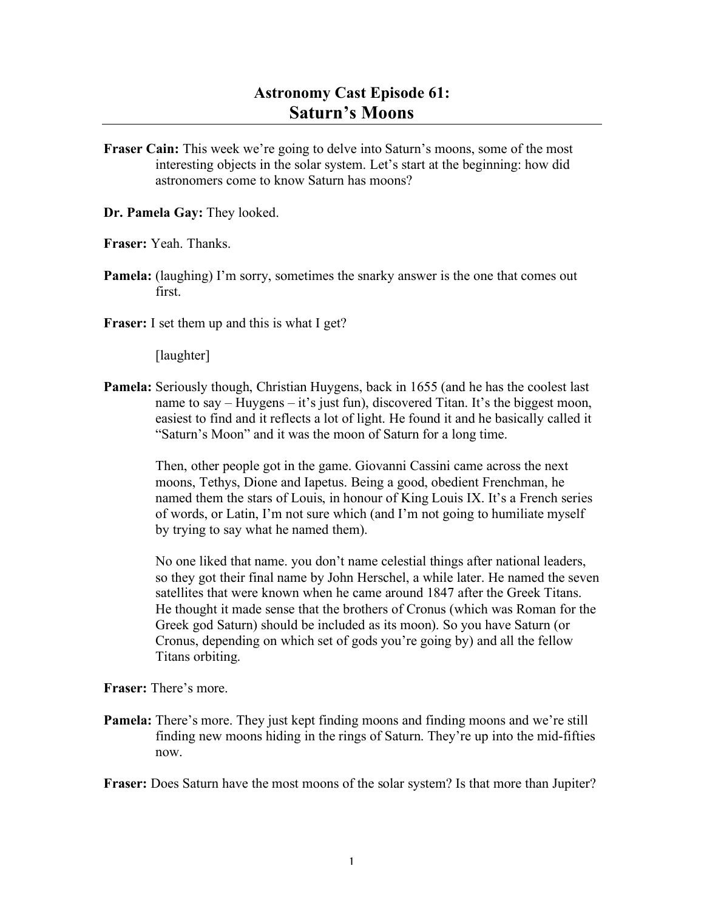## **Astronomy Cast Episode 61: Saturn's Moons**

**Fraser Cain:** This week we're going to delve into Saturn's moons, some of the most interesting objects in the solar system. Let's start at the beginning: how did astronomers come to know Saturn has moons?

**Dr. Pamela Gay:** They looked.

**Fraser:** Yeah. Thanks.

- **Pamela:** (laughing) I'm sorry, sometimes the snarky answer is the one that comes out first.
- **Fraser:** I set them up and this is what I get?

[laughter]

**Pamela:** Seriously though, Christian Huygens, back in 1655 (and he has the coolest last name to say – Huygens – it's just fun), discovered Titan. It's the biggest moon, easiest to find and it reflects a lot of light. He found it and he basically called it "Saturn's Moon" and it was the moon of Saturn for a long time.

> Then, other people got in the game. Giovanni Cassini came across the next moons, Tethys, Dione and Iapetus. Being a good, obedient Frenchman, he named them the stars of Louis, in honour of King Louis IX. It's a French series of words, or Latin, I'm not sure which (and I'm not going to humiliate myself by trying to say what he named them).

No one liked that name. you don't name celestial things after national leaders, so they got their final name by John Herschel, a while later. He named the seven satellites that were known when he came around 1847 after the Greek Titans. He thought it made sense that the brothers of Cronus (which was Roman for the Greek god Saturn) should be included as its moon). So you have Saturn (or Cronus, depending on which set of gods you're going by) and all the fellow Titans orbiting.

**Fraser:** There's more.

- **Pamela:** There's more. They just kept finding moons and finding moons and we're still finding new moons hiding in the rings of Saturn. They're up into the mid-fifties now.
- **Fraser:** Does Saturn have the most moons of the solar system? Is that more than Jupiter?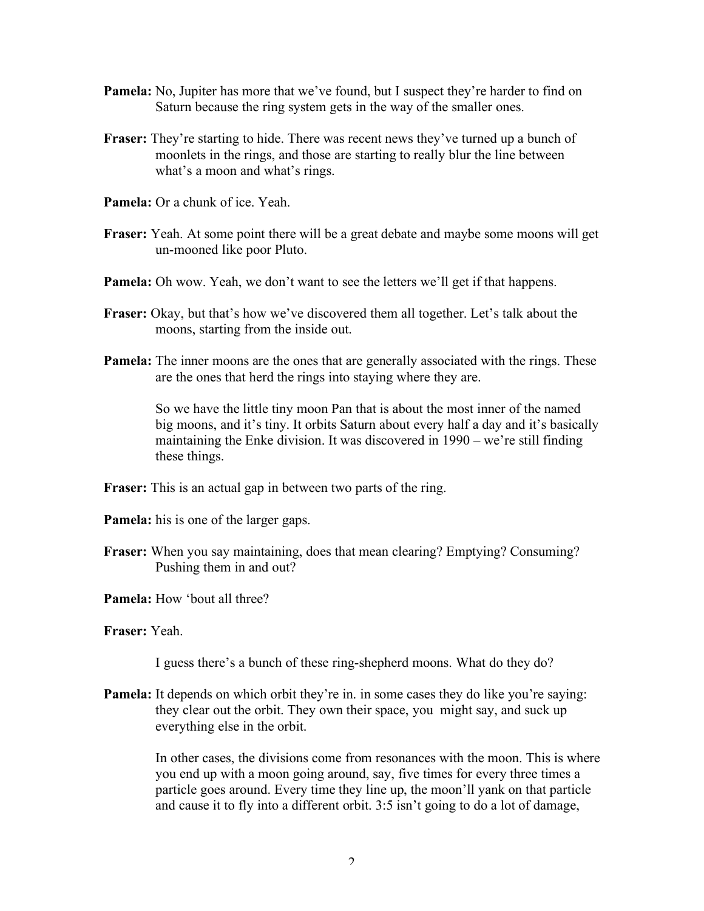- **Pamela:** No, Jupiter has more that we've found, but I suspect they're harder to find on Saturn because the ring system gets in the way of the smaller ones.
- **Fraser:** They're starting to hide. There was recent news they've turned up a bunch of moonlets in the rings, and those are starting to really blur the line between what's a moon and what's rings.
- **Pamela:** Or a chunk of ice. Yeah.
- **Fraser:** Yeah. At some point there will be a great debate and maybe some moons will get un-mooned like poor Pluto.
- **Pamela:** Oh wow. Yeah, we don't want to see the letters we'll get if that happens.
- **Fraser:** Okay, but that's how we've discovered them all together. Let's talk about the moons, starting from the inside out.
- **Pamela:** The inner moons are the ones that are generally associated with the rings. These are the ones that herd the rings into staying where they are.

So we have the little tiny moon Pan that is about the most inner of the named big moons, and it's tiny. It orbits Saturn about every half a day and it's basically maintaining the Enke division. It was discovered in 1990 – we're still finding these things.

**Fraser:** This is an actual gap in between two parts of the ring.

- **Pamela:** his is one of the larger gaps.
- **Fraser:** When you say maintaining, does that mean clearing? Emptying? Consuming? Pushing them in and out?
- **Pamela:** How 'bout all three?
- **Fraser:** Yeah.

I guess there's a bunch of these ring-shepherd moons. What do they do?

**Pamela:** It depends on which orbit they're in. in some cases they do like you're saying: they clear out the orbit. They own their space, you might say, and suck up everything else in the orbit.

> In other cases, the divisions come from resonances with the moon. This is where you end up with a moon going around, say, five times for every three times a particle goes around. Every time they line up, the moon'll yank on that particle and cause it to fly into a different orbit. 3:5 isn't going to do a lot of damage,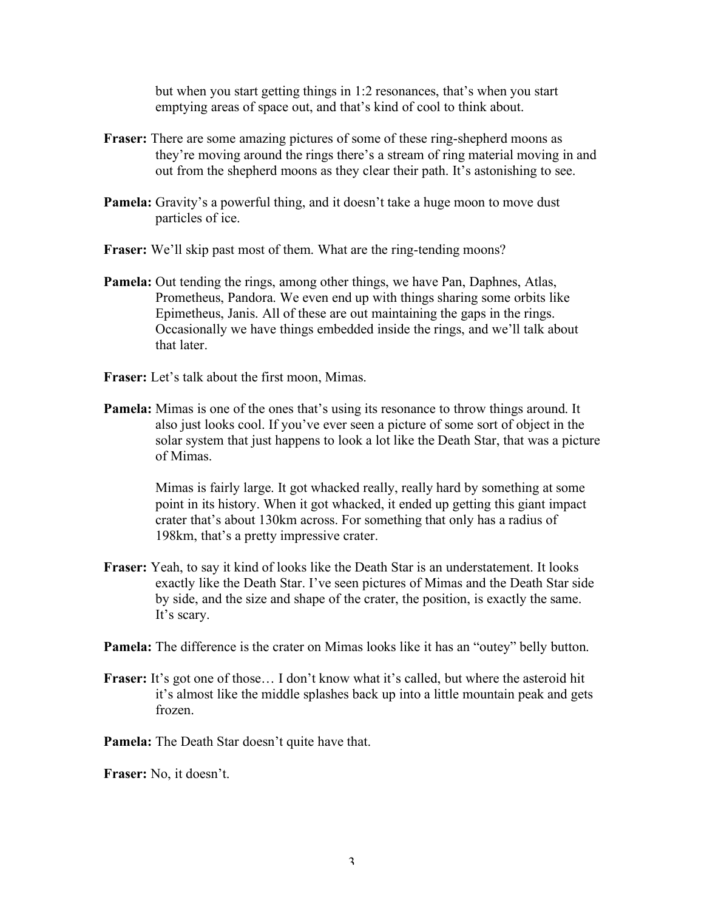but when you start getting things in 1:2 resonances, that's when you start emptying areas of space out, and that's kind of cool to think about.

- **Fraser:** There are some amazing pictures of some of these ring-shepherd moons as they're moving around the rings there's a stream of ring material moving in and out from the shepherd moons as they clear their path. It's astonishing to see.
- **Pamela:** Gravity's a powerful thing, and it doesn't take a huge moon to move dust particles of ice.
- **Fraser:** We'll skip past most of them. What are the ring-tending moons?
- **Pamela:** Out tending the rings, among other things, we have Pan, Daphnes, Atlas, Prometheus, Pandora. We even end up with things sharing some orbits like Epimetheus, Janis. All of these are out maintaining the gaps in the rings. Occasionally we have things embedded inside the rings, and we'll talk about that later.
- **Fraser:** Let's talk about the first moon, Mimas.
- **Pamela:** Mimas is one of the ones that's using its resonance to throw things around. It also just looks cool. If you've ever seen a picture of some sort of object in the solar system that just happens to look a lot like the Death Star, that was a picture of Mimas.

Mimas is fairly large. It got whacked really, really hard by something at some point in its history. When it got whacked, it ended up getting this giant impact crater that's about 130km across. For something that only has a radius of 198km, that's a pretty impressive crater.

**Fraser:** Yeah, to say it kind of looks like the Death Star is an understatement. It looks exactly like the Death Star. I've seen pictures of Mimas and the Death Star side by side, and the size and shape of the crater, the position, is exactly the same. It's scary.

**Pamela:** The difference is the crater on Mimas looks like it has an "outey" belly button.

Fraser: It's got one of those... I don't know what it's called, but where the asteroid hit it's almost like the middle splashes back up into a little mountain peak and gets frozen.

**Pamela:** The Death Star doesn't quite have that.

**Fraser:** No, it doesn't.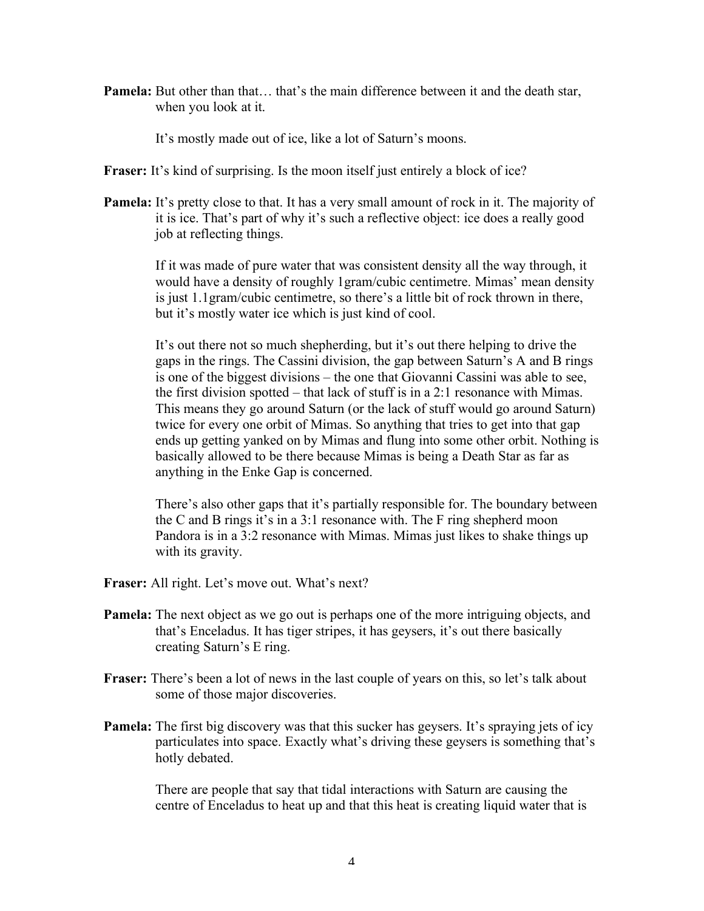**Pamela:** But other than that… that's the main difference between it and the death star, when you look at it.

It's mostly made out of ice, like a lot of Saturn's moons.

Fraser: It's kind of surprising. Is the moon itself just entirely a block of ice?

**Pamela:** It's pretty close to that. It has a very small amount of rock in it. The majority of it is ice. That's part of why it's such a reflective object: ice does a really good job at reflecting things.

> If it was made of pure water that was consistent density all the way through, it would have a density of roughly 1gram/cubic centimetre. Mimas' mean density is just 1.1gram/cubic centimetre, so there's a little bit of rock thrown in there, but it's mostly water ice which is just kind of cool.

> It's out there not so much shepherding, but it's out there helping to drive the gaps in the rings. The Cassini division, the gap between Saturn's A and B rings is one of the biggest divisions – the one that Giovanni Cassini was able to see, the first division spotted – that lack of stuff is in a 2:1 resonance with Mimas. This means they go around Saturn (or the lack of stuff would go around Saturn) twice for every one orbit of Mimas. So anything that tries to get into that gap ends up getting yanked on by Mimas and flung into some other orbit. Nothing is basically allowed to be there because Mimas is being a Death Star as far as anything in the Enke Gap is concerned.

> There's also other gaps that it's partially responsible for. The boundary between the C and B rings it's in a 3:1 resonance with. The F ring shepherd moon Pandora is in a 3:2 resonance with Mimas. Mimas just likes to shake things up with its gravity.

- **Fraser:** All right. Let's move out. What's next?
- **Pamela:** The next object as we go out is perhaps one of the more intriguing objects, and that's Enceladus. It has tiger stripes, it has geysers, it's out there basically creating Saturn's E ring.
- **Fraser:** There's been a lot of news in the last couple of years on this, so let's talk about some of those major discoveries.
- **Pamela:** The first big discovery was that this sucker has geysers. It's spraying jets of icy particulates into space. Exactly what's driving these geysers is something that's hotly debated.

There are people that say that tidal interactions with Saturn are causing the centre of Enceladus to heat up and that this heat is creating liquid water that is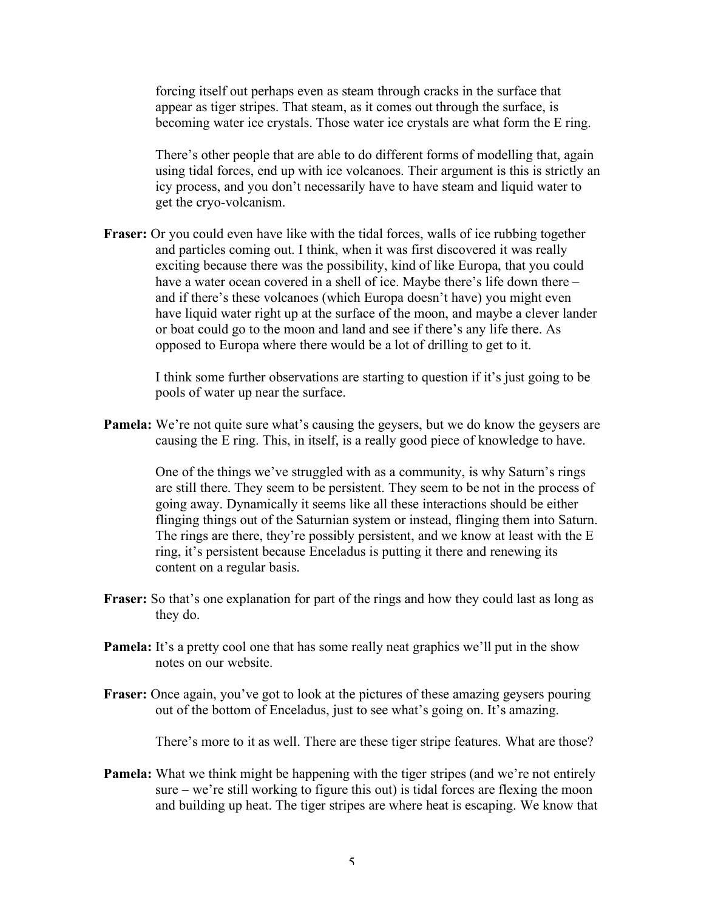forcing itself out perhaps even as steam through cracks in the surface that appear as tiger stripes. That steam, as it comes out through the surface, is becoming water ice crystals. Those water ice crystals are what form the E ring.

There's other people that are able to do different forms of modelling that, again using tidal forces, end up with ice volcanoes. Their argument is this is strictly an icy process, and you don't necessarily have to have steam and liquid water to get the cryo-volcanism.

**Fraser:** Or you could even have like with the tidal forces, walls of ice rubbing together and particles coming out. I think, when it was first discovered it was really exciting because there was the possibility, kind of like Europa, that you could have a water ocean covered in a shell of ice. Maybe there's life down there – and if there's these volcanoes (which Europa doesn't have) you might even have liquid water right up at the surface of the moon, and maybe a clever lander or boat could go to the moon and land and see if there's any life there. As opposed to Europa where there would be a lot of drilling to get to it.

> I think some further observations are starting to question if it's just going to be pools of water up near the surface.

**Pamela:** We're not quite sure what's causing the geysers, but we do know the geysers are causing the E ring. This, in itself, is a really good piece of knowledge to have.

> One of the things we've struggled with as a community, is why Saturn's rings are still there. They seem to be persistent. They seem to be not in the process of going away. Dynamically it seems like all these interactions should be either flinging things out of the Saturnian system or instead, flinging them into Saturn. The rings are there, they're possibly persistent, and we know at least with the E ring, it's persistent because Enceladus is putting it there and renewing its content on a regular basis.

- **Fraser:** So that's one explanation for part of the rings and how they could last as long as they do.
- **Pamela:** It's a pretty cool one that has some really neat graphics we'll put in the show notes on our website.
- **Fraser:** Once again, you've got to look at the pictures of these amazing geysers pouring out of the bottom of Enceladus, just to see what's going on. It's amazing.

There's more to it as well. There are these tiger stripe features. What are those?

**Pamela:** What we think might be happening with the tiger stripes (and we're not entirely sure – we're still working to figure this out) is tidal forces are flexing the moon and building up heat. The tiger stripes are where heat is escaping. We know that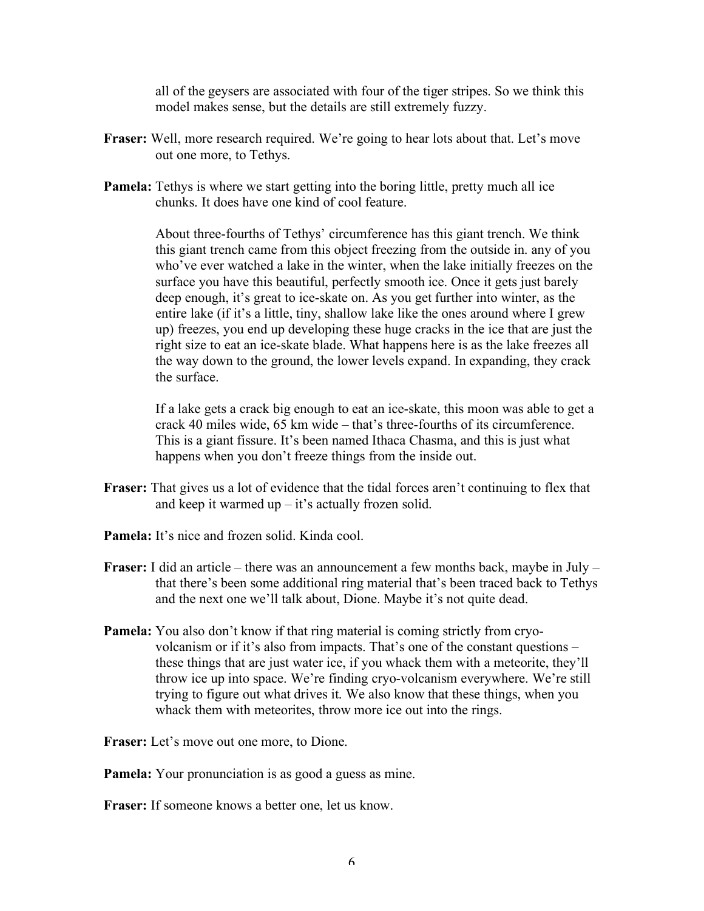all of the geysers are associated with four of the tiger stripes. So we think this model makes sense, but the details are still extremely fuzzy.

- Fraser: Well, more research required. We're going to hear lots about that. Let's move out one more, to Tethys.
- **Pamela:** Tethys is where we start getting into the boring little, pretty much all ice chunks. It does have one kind of cool feature.

About three-fourths of Tethys' circumference has this giant trench. We think this giant trench came from this object freezing from the outside in. any of you who've ever watched a lake in the winter, when the lake initially freezes on the surface you have this beautiful, perfectly smooth ice. Once it gets just barely deep enough, it's great to ice-skate on. As you get further into winter, as the entire lake (if it's a little, tiny, shallow lake like the ones around where I grew up) freezes, you end up developing these huge cracks in the ice that are just the right size to eat an ice-skate blade. What happens here is as the lake freezes all the way down to the ground, the lower levels expand. In expanding, they crack the surface.

If a lake gets a crack big enough to eat an ice-skate, this moon was able to get a crack 40 miles wide, 65 km wide – that's three-fourths of its circumference. This is a giant fissure. It's been named Ithaca Chasma, and this is just what happens when you don't freeze things from the inside out.

- **Fraser:** That gives us a lot of evidence that the tidal forces aren't continuing to flex that and keep it warmed up  $-$  it's actually frozen solid.
- **Pamela:** It's nice and frozen solid. Kinda cool.
- **Fraser:** I did an article there was an announcement a few months back, maybe in July that there's been some additional ring material that's been traced back to Tethys and the next one we'll talk about, Dione. Maybe it's not quite dead.
- **Pamela:** You also don't know if that ring material is coming strictly from cryovolcanism or if it's also from impacts. That's one of the constant questions – these things that are just water ice, if you whack them with a meteorite, they'll throw ice up into space. We're finding cryo-volcanism everywhere. We're still trying to figure out what drives it. We also know that these things, when you whack them with meteorites, throw more ice out into the rings.

**Fraser:** Let's move out one more, to Dione.

**Pamela:** Your pronunciation is as good a guess as mine.

**Fraser:** If someone knows a better one, let us know.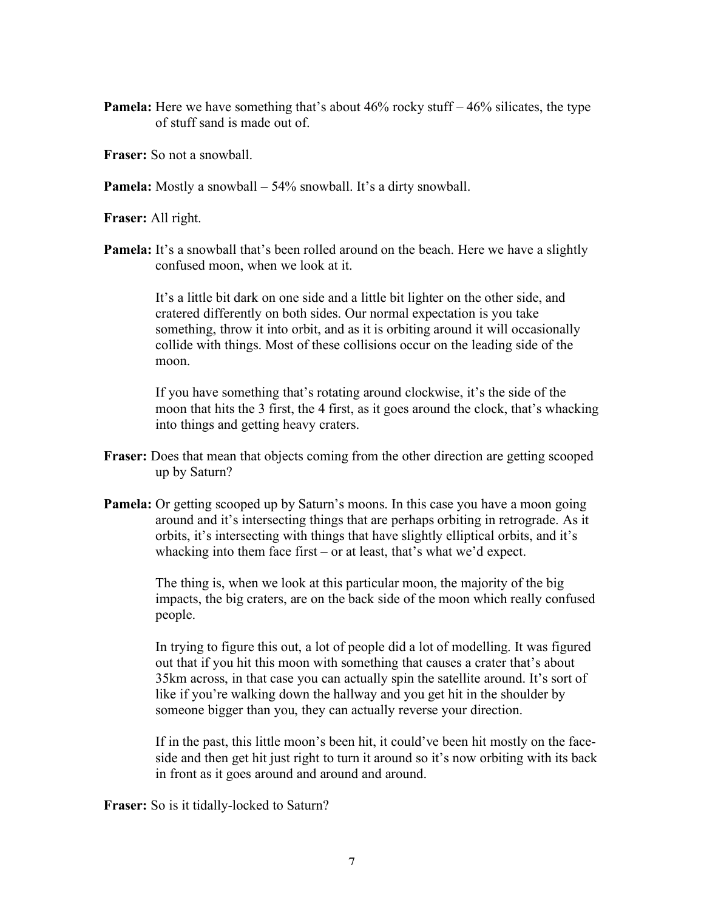- **Pamela:** Here we have something that's about 46% rocky stuff 46% silicates, the type of stuff sand is made out of.
- **Fraser:** So not a snowball.

**Pamela:** Mostly a snowball – 54% snowball. It's a dirty snowball.

**Fraser:** All right.

**Pamela:** It's a snowball that's been rolled around on the beach. Here we have a slightly confused moon, when we look at it.

> It's a little bit dark on one side and a little bit lighter on the other side, and cratered differently on both sides. Our normal expectation is you take something, throw it into orbit, and as it is orbiting around it will occasionally collide with things. Most of these collisions occur on the leading side of the moon.

If you have something that's rotating around clockwise, it's the side of the moon that hits the 3 first, the 4 first, as it goes around the clock, that's whacking into things and getting heavy craters.

- **Fraser:** Does that mean that objects coming from the other direction are getting scooped up by Saturn?
- **Pamela:** Or getting scooped up by Saturn's moons. In this case you have a moon going around and it's intersecting things that are perhaps orbiting in retrograde. As it orbits, it's intersecting with things that have slightly elliptical orbits, and it's whacking into them face first – or at least, that's what we'd expect.

The thing is, when we look at this particular moon, the majority of the big impacts, the big craters, are on the back side of the moon which really confused people.

In trying to figure this out, a lot of people did a lot of modelling. It was figured out that if you hit this moon with something that causes a crater that's about 35km across, in that case you can actually spin the satellite around. It's sort of like if you're walking down the hallway and you get hit in the shoulder by someone bigger than you, they can actually reverse your direction.

If in the past, this little moon's been hit, it could've been hit mostly on the faceside and then get hit just right to turn it around so it's now orbiting with its back in front as it goes around and around and around.

**Fraser:** So is it tidally-locked to Saturn?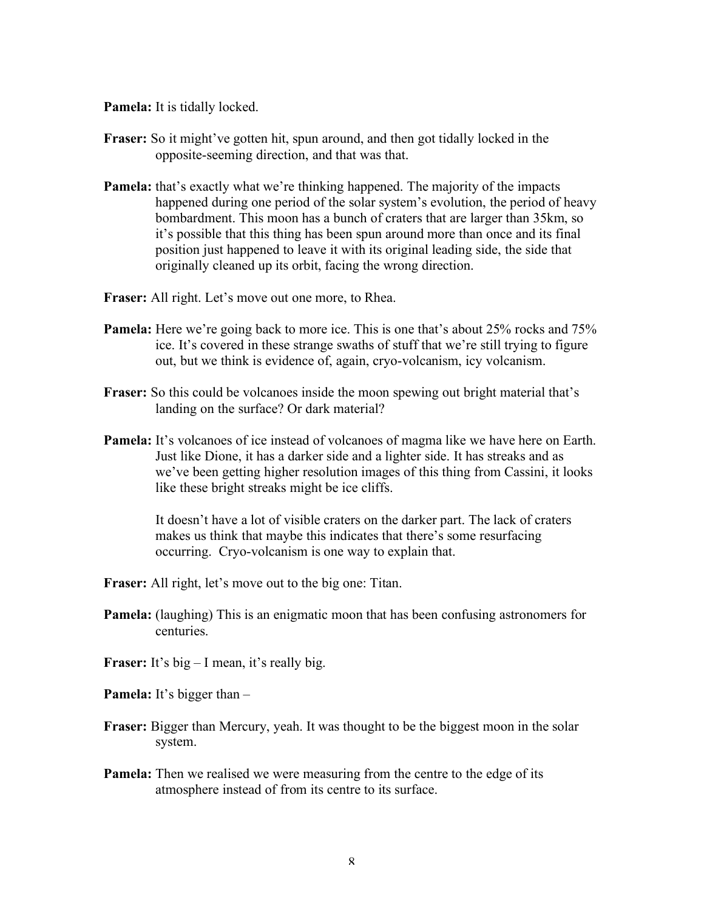**Pamela:** It is tidally locked.

- **Fraser:** So it might've gotten hit, spun around, and then got tidally locked in the opposite-seeming direction, and that was that.
- **Pamela:** that's exactly what we're thinking happened. The majority of the impacts happened during one period of the solar system's evolution, the period of heavy bombardment. This moon has a bunch of craters that are larger than 35km, so it's possible that this thing has been spun around more than once and its final position just happened to leave it with its original leading side, the side that originally cleaned up its orbit, facing the wrong direction.
- **Fraser:** All right. Let's move out one more, to Rhea.
- **Pamela:** Here we're going back to more ice. This is one that's about 25% rocks and 75% ice. It's covered in these strange swaths of stuff that we're still trying to figure out, but we think is evidence of, again, cryo-volcanism, icy volcanism.
- **Fraser:** So this could be volcanoes inside the moon spewing out bright material that's landing on the surface? Or dark material?
- **Pamela:** It's volcanoes of ice instead of volcanoes of magma like we have here on Earth. Just like Dione, it has a darker side and a lighter side. It has streaks and as we've been getting higher resolution images of this thing from Cassini, it looks like these bright streaks might be ice cliffs.

It doesn't have a lot of visible craters on the darker part. The lack of craters makes us think that maybe this indicates that there's some resurfacing occurring. Cryo-volcanism is one way to explain that.

- **Fraser:** All right, let's move out to the big one: Titan.
- **Pamela:** (laughing) This is an enigmatic moon that has been confusing astronomers for centuries.
- **Fraser:** It's big I mean, it's really big.
- **Pamela:** It's bigger than –
- **Fraser:** Bigger than Mercury, yeah. It was thought to be the biggest moon in the solar system.
- **Pamela:** Then we realised we were measuring from the centre to the edge of its atmosphere instead of from its centre to its surface.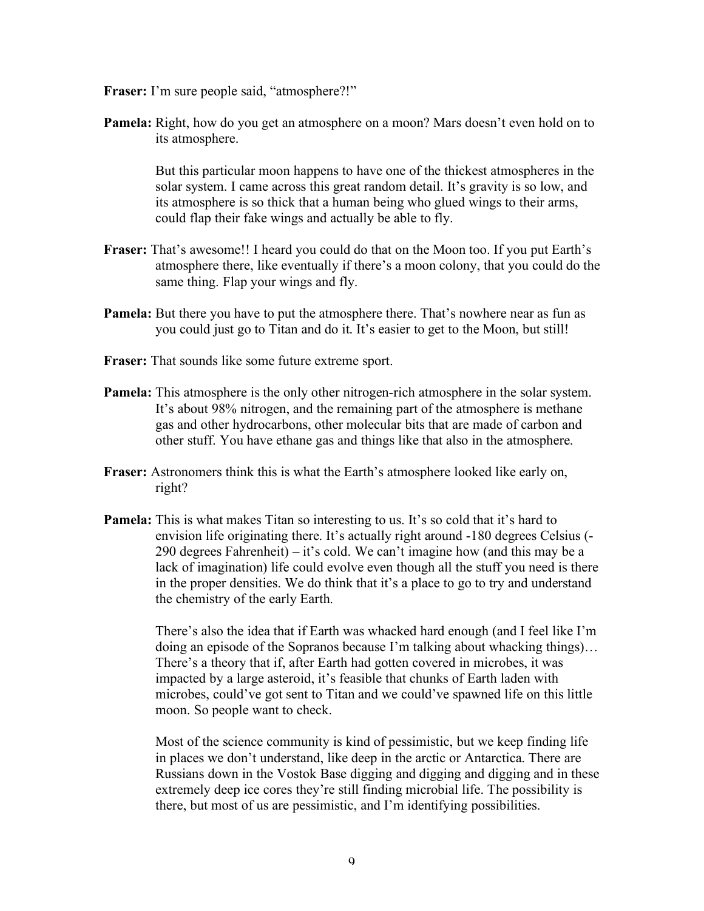- **Fraser:** I'm sure people said, "atmosphere?!"
- **Pamela:** Right, how do you get an atmosphere on a moon? Mars doesn't even hold on to its atmosphere.

But this particular moon happens to have one of the thickest atmospheres in the solar system. I came across this great random detail. It's gravity is so low, and its atmosphere is so thick that a human being who glued wings to their arms, could flap their fake wings and actually be able to fly.

- **Fraser:** That's awesome!! I heard you could do that on the Moon too. If you put Earth's atmosphere there, like eventually if there's a moon colony, that you could do the same thing. Flap your wings and fly.
- **Pamela:** But there you have to put the atmosphere there. That's nowhere near as fun as you could just go to Titan and do it. It's easier to get to the Moon, but still!
- **Fraser:** That sounds like some future extreme sport.
- **Pamela:** This atmosphere is the only other nitrogen-rich atmosphere in the solar system. It's about 98% nitrogen, and the remaining part of the atmosphere is methane gas and other hydrocarbons, other molecular bits that are made of carbon and other stuff. You have ethane gas and things like that also in the atmosphere.
- **Fraser:** Astronomers think this is what the Earth's atmosphere looked like early on, right?
- **Pamela:** This is what makes Titan so interesting to us. It's so cold that it's hard to envision life originating there. It's actually right around -180 degrees Celsius (- 290 degrees Fahrenheit) – it's cold. We can't imagine how (and this may be a lack of imagination) life could evolve even though all the stuff you need is there in the proper densities. We do think that it's a place to go to try and understand the chemistry of the early Earth.

There's also the idea that if Earth was whacked hard enough (and I feel like I'm doing an episode of the Sopranos because I'm talking about whacking things)… There's a theory that if, after Earth had gotten covered in microbes, it was impacted by a large asteroid, it's feasible that chunks of Earth laden with microbes, could've got sent to Titan and we could've spawned life on this little moon. So people want to check.

Most of the science community is kind of pessimistic, but we keep finding life in places we don't understand, like deep in the arctic or Antarctica. There are Russians down in the Vostok Base digging and digging and digging and in these extremely deep ice cores they're still finding microbial life. The possibility is there, but most of us are pessimistic, and I'm identifying possibilities.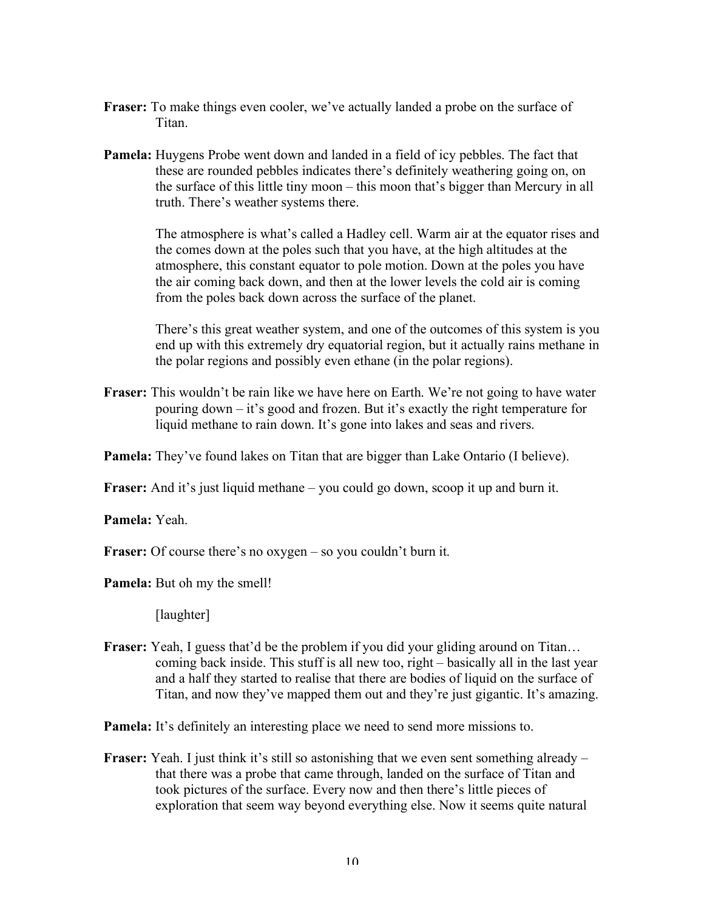- **Fraser:** To make things even cooler, we've actually landed a probe on the surface of **Titan**
- **Pamela:** Huygens Probe went down and landed in a field of icy pebbles. The fact that these are rounded pebbles indicates there's definitely weathering going on, on the surface of this little tiny moon – this moon that's bigger than Mercury in all truth. There's weather systems there.

The atmosphere is what's called a Hadley cell. Warm air at the equator rises and the comes down at the poles such that you have, at the high altitudes at the atmosphere, this constant equator to pole motion. Down at the poles you have the air coming back down, and then at the lower levels the cold air is coming from the poles back down across the surface of the planet.

There's this great weather system, and one of the outcomes of this system is you end up with this extremely dry equatorial region, but it actually rains methane in the polar regions and possibly even ethane (in the polar regions).

**Fraser:** This wouldn't be rain like we have here on Earth. We're not going to have water pouring down – it's good and frozen. But it's exactly the right temperature for liquid methane to rain down. It's gone into lakes and seas and rivers.

**Pamela:** They've found lakes on Titan that are bigger than Lake Ontario (I believe).

**Fraser:** And it's just liquid methane – you could go down, scoop it up and burn it.

**Pamela:** Yeah.

**Fraser:** Of course there's no oxygen – so you couldn't burn it.

**Pamela:** But oh my the smell!

[laughter]

Fraser: Yeah, I guess that'd be the problem if you did your gliding around on Titan... coming back inside. This stuff is all new too, right – basically all in the last year and a half they started to realise that there are bodies of liquid on the surface of Titan, and now they've mapped them out and they're just gigantic. It's amazing.

**Pamela:** It's definitely an interesting place we need to send more missions to.

**Fraser:** Yeah. I just think it's still so astonishing that we even sent something already – that there was a probe that came through, landed on the surface of Titan and took pictures of the surface. Every now and then there's little pieces of exploration that seem way beyond everything else. Now it seems quite natural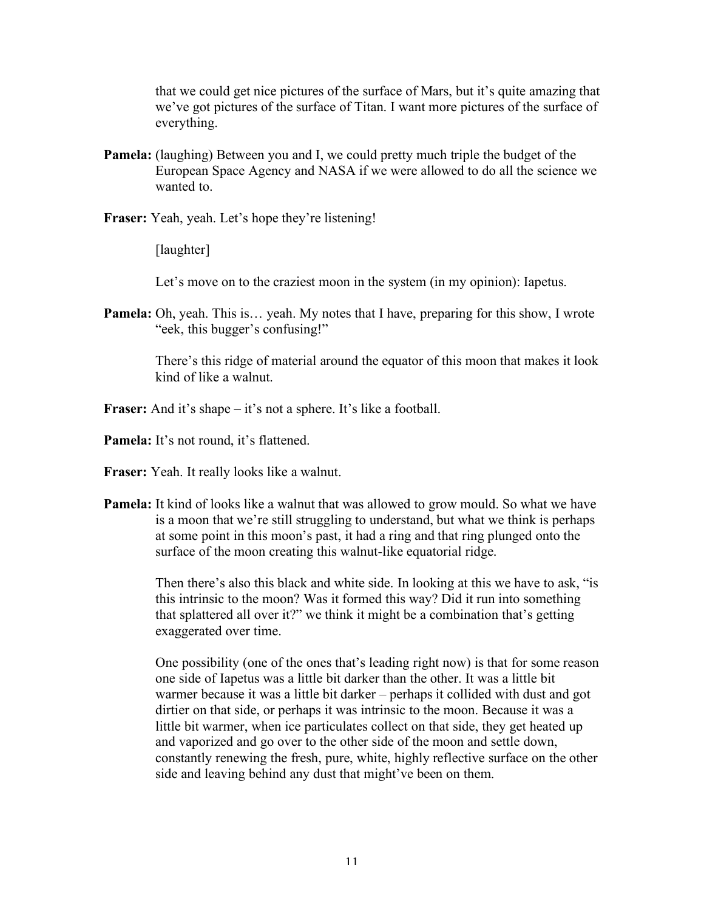that we could get nice pictures of the surface of Mars, but it's quite amazing that we've got pictures of the surface of Titan. I want more pictures of the surface of everything.

- **Pamela:** (laughing) Between you and I, we could pretty much triple the budget of the European Space Agency and NASA if we were allowed to do all the science we wanted to.
- **Fraser:** Yeah, yeah. Let's hope they're listening!

[laughter]

Let's move on to the craziest moon in the system (in my opinion): Iapetus.

**Pamela:** Oh, yeah. This is... yeah. My notes that I have, preparing for this show, I wrote "eek, this bugger's confusing!"

> There's this ridge of material around the equator of this moon that makes it look kind of like a walnut.

**Fraser:** And it's shape – it's not a sphere. It's like a football.

**Pamela:** It's not round, it's flattened.

**Fraser:** Yeah. It really looks like a walnut.

**Pamela:** It kind of looks like a walnut that was allowed to grow mould. So what we have is a moon that we're still struggling to understand, but what we think is perhaps at some point in this moon's past, it had a ring and that ring plunged onto the surface of the moon creating this walnut-like equatorial ridge.

> Then there's also this black and white side. In looking at this we have to ask, "is this intrinsic to the moon? Was it formed this way? Did it run into something that splattered all over it?" we think it might be a combination that's getting exaggerated over time.

> One possibility (one of the ones that's leading right now) is that for some reason one side of Iapetus was a little bit darker than the other. It was a little bit warmer because it was a little bit darker – perhaps it collided with dust and got dirtier on that side, or perhaps it was intrinsic to the moon. Because it was a little bit warmer, when ice particulates collect on that side, they get heated up and vaporized and go over to the other side of the moon and settle down, constantly renewing the fresh, pure, white, highly reflective surface on the other side and leaving behind any dust that might've been on them.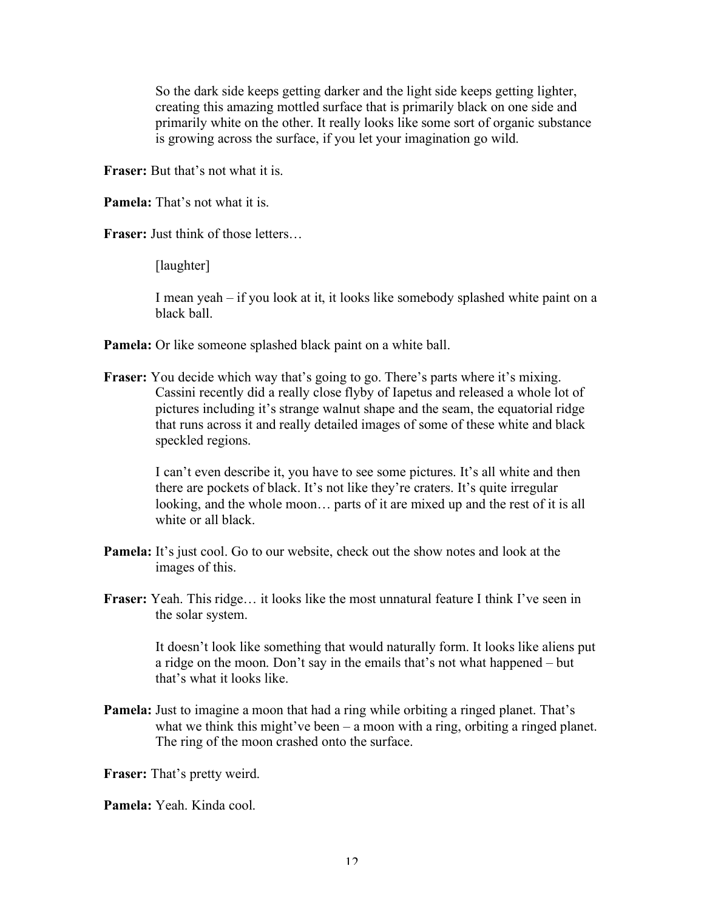So the dark side keeps getting darker and the light side keeps getting lighter, creating this amazing mottled surface that is primarily black on one side and primarily white on the other. It really looks like some sort of organic substance is growing across the surface, if you let your imagination go wild.

**Fraser:** But that's not what it is.

**Pamela:** That's not what it is.

**Fraser:** Just think of those letters…

[laughter]

I mean yeah – if you look at it, it looks like somebody splashed white paint on a black ball.

**Pamela:** Or like someone splashed black paint on a white ball.

**Fraser:** You decide which way that's going to go. There's parts where it's mixing. Cassini recently did a really close flyby of Iapetus and released a whole lot of pictures including it's strange walnut shape and the seam, the equatorial ridge that runs across it and really detailed images of some of these white and black speckled regions.

> I can't even describe it, you have to see some pictures. It's all white and then there are pockets of black. It's not like they're craters. It's quite irregular looking, and the whole moon… parts of it are mixed up and the rest of it is all white or all black.

- **Pamela:** It's just cool. Go to our website, check out the show notes and look at the images of this.
- **Fraser:** Yeah. This ridge... it looks like the most unnatural feature I think I've seen in the solar system.

It doesn't look like something that would naturally form. It looks like aliens put a ridge on the moon. Don't say in the emails that's not what happened – but that's what it looks like.

**Pamela:** Just to imagine a moon that had a ring while orbiting a ringed planet. That's what we think this might've been – a moon with a ring, orbiting a ringed planet. The ring of the moon crashed onto the surface.

**Fraser:** That's pretty weird.

**Pamela:** Yeah. Kinda cool.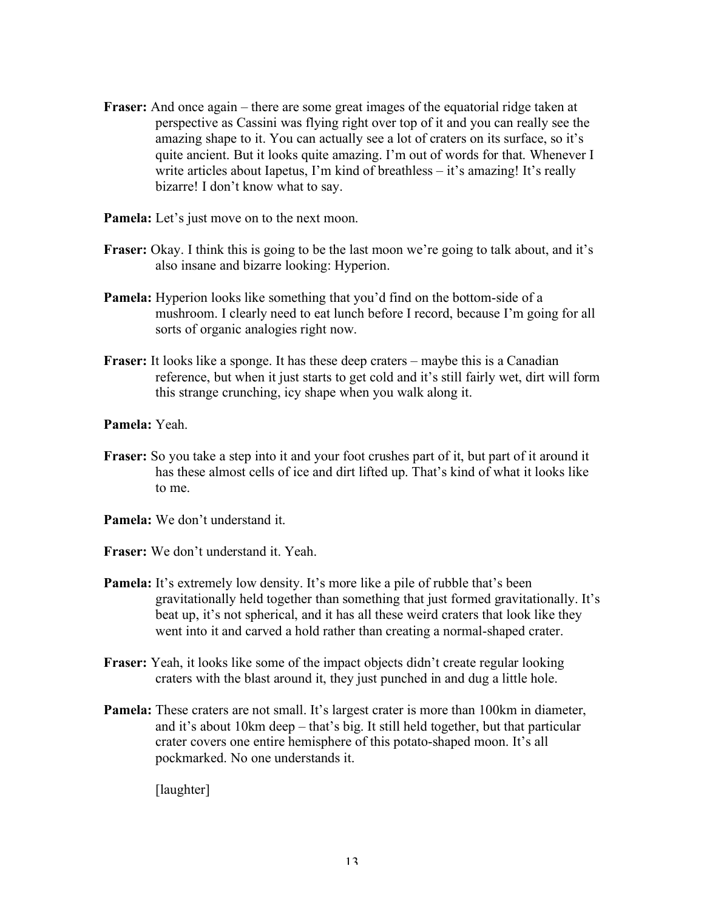- **Fraser:** And once again there are some great images of the equatorial ridge taken at perspective as Cassini was flying right over top of it and you can really see the amazing shape to it. You can actually see a lot of craters on its surface, so it's quite ancient. But it looks quite amazing. I'm out of words for that. Whenever I write articles about Iapetus, I'm kind of breathless – it's amazing! It's really bizarre! I don't know what to say.
- **Pamela:** Let's just move on to the next moon.
- **Fraser:** Okay. I think this is going to be the last moon we're going to talk about, and it's also insane and bizarre looking: Hyperion.
- **Pamela:** Hyperion looks like something that you'd find on the bottom-side of a mushroom. I clearly need to eat lunch before I record, because I'm going for all sorts of organic analogies right now.
- **Fraser:** It looks like a sponge. It has these deep craters maybe this is a Canadian reference, but when it just starts to get cold and it's still fairly wet, dirt will form this strange crunching, icy shape when you walk along it.

**Pamela:** Yeah.

- **Fraser:** So you take a step into it and your foot crushes part of it, but part of it around it has these almost cells of ice and dirt lifted up. That's kind of what it looks like to me.
- **Pamela:** We don't understand it.
- **Fraser:** We don't understand it. Yeah.
- **Pamela:** It's extremely low density. It's more like a pile of rubble that's been gravitationally held together than something that just formed gravitationally. It's beat up, it's not spherical, and it has all these weird craters that look like they went into it and carved a hold rather than creating a normal-shaped crater.
- **Fraser:** Yeah, it looks like some of the impact objects didn't create regular looking craters with the blast around it, they just punched in and dug a little hole.
- **Pamela:** These craters are not small. It's largest crater is more than 100km in diameter, and it's about 10km deep – that's big. It still held together, but that particular crater covers one entire hemisphere of this potato-shaped moon. It's all pockmarked. No one understands it.

[laughter]